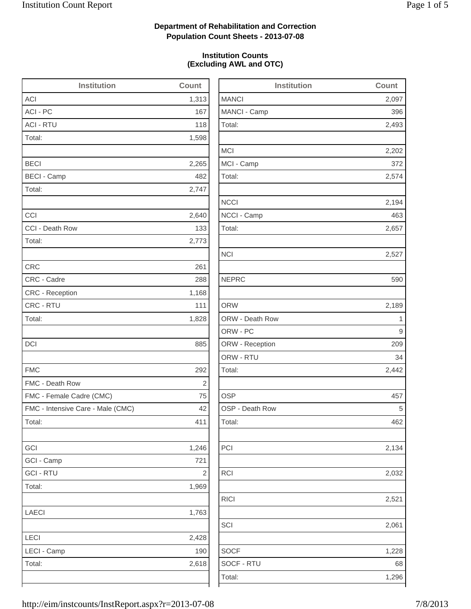2,493

2,202

2,574

2,194

2,442

2,134

2,032

1,228

## **Department of Rehabilitation and Correction Population Count Sheets - 2013-07-08**

### **Institution Counts (Excluding AWL and OTC)**

| <b>Institution</b>                | Count                   | <b>Institution</b> | Count       |
|-----------------------------------|-------------------------|--------------------|-------------|
| <b>ACI</b>                        | 1,313                   | <b>MANCI</b>       | 2,097       |
| ACI - PC                          | 167                     | MANCI - Camp       | 396         |
| <b>ACI - RTU</b>                  | 118                     | Total:             | 2,493       |
| Total:                            | 1,598                   |                    |             |
|                                   |                         | <b>MCI</b>         | 2,202       |
| <b>BECI</b>                       | 2,265                   | MCI - Camp         | 372         |
| <b>BECI - Camp</b>                | 482                     | Total:             | 2,574       |
| Total:                            | 2,747                   |                    |             |
|                                   |                         | <b>NCCI</b>        | 2,194       |
| CCI                               | 2,640                   | NCCI - Camp        | 463         |
| CCI - Death Row                   | 133                     | Total:             | 2,657       |
| Total:                            | 2,773                   |                    |             |
|                                   |                         | <b>NCI</b>         | 2,527       |
| <b>CRC</b>                        | 261                     |                    |             |
| CRC - Cadre                       | 288                     | <b>NEPRC</b>       | 590         |
| <b>CRC</b> - Reception            | 1,168                   |                    |             |
| CRC - RTU                         | 111                     | <b>ORW</b>         | 2,189       |
| Total:                            | 1,828                   | ORW - Death Row    | $\mathbf 1$ |
|                                   |                         | ORW - PC           | 9           |
| DCI                               | 885                     | ORW - Reception    | 209         |
|                                   |                         | ORW - RTU          | 34          |
| <b>FMC</b>                        | 292                     | Total:             | 2,442       |
| FMC - Death Row                   | $\sqrt{2}$              |                    |             |
| FMC - Female Cadre (CMC)          | 75                      | <b>OSP</b>         | 457         |
| FMC - Intensive Care - Male (CMC) | 42                      | OSP - Death Row    | 5           |
| Total:                            | 411                     | Total:             | 462         |
| GCI                               | 1,246                   | PCI                | 2,134       |
| GCI - Camp                        | 721                     |                    |             |
| <b>GCI - RTU</b>                  | $\overline{\mathbf{c}}$ | <b>RCI</b>         | 2,032       |
| Total:                            | 1,969                   |                    |             |
|                                   |                         | <b>RICI</b>        | 2,521       |
| LAECI                             | 1,763                   |                    |             |
|                                   |                         | SCI                | 2,061       |
| LECI                              | 2,428                   |                    |             |
| LECI - Camp                       | 190                     | <b>SOCF</b>        | 1,228       |
|                                   | 2,618                   | SOCF - RTU         | 68          |
| Total:                            |                         |                    |             |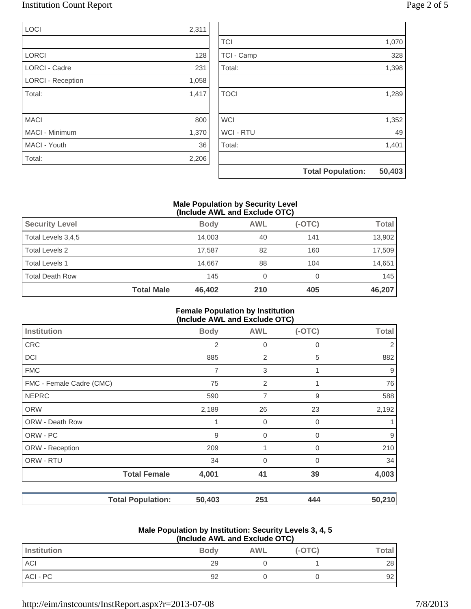# Institution Count Report Page 2 of 5

| <b>LOCI</b>              | 2,311 |
|--------------------------|-------|
|                          |       |
| <b>LORCI</b>             | 128   |
| <b>LORCI - Cadre</b>     | 231   |
| <b>LORCI - Reception</b> | 1,058 |
| Total:                   | 1,417 |
|                          |       |
| <b>MACI</b>              | 800   |
| MACI - Minimum           | 1,370 |
| MACI - Youth             | 36    |
| Total:                   | 2,206 |

|                  | <b>Total Population:</b> | 50,403 |
|------------------|--------------------------|--------|
|                  |                          |        |
| Total:           |                          | 1,401  |
| <b>WCI - RTU</b> |                          | 49     |
| <b>WCI</b>       |                          | 1,352  |
|                  |                          |        |
| <b>TOCI</b>      |                          | 1,289  |
|                  |                          |        |
| Total:           |                          | 1,398  |
| TCI - Camp       |                          | 328    |
| <b>TCI</b>       |                          | 1,070  |

### **Male Population by Security Level (Include AWL and Exclude OTC)**

| <b>Security Level</b>  |                   | <b>Body</b> | <b>AWL</b> | $(-OTC)$ | Total  |
|------------------------|-------------------|-------------|------------|----------|--------|
| Total Levels 3,4,5     |                   | 14.003      | 40         | 141      | 13,902 |
| Total Levels 2         |                   | 17.587      | 82         | 160      | 17,509 |
| <b>Total Levels 1</b>  |                   | 14.667      | 88         | 104      | 14,651 |
| <b>Total Death Row</b> |                   | 145         | 0          |          | 145    |
|                        | <b>Total Male</b> | 46,402      | 210        | 405      | 46,207 |

### **Female Population by Institution (Include AWL and Exclude OTC)**

| <b>Institution</b>       | <b>Body</b> | <b>AWL</b>  | $(-OTC)$ | <b>Total</b> |
|--------------------------|-------------|-------------|----------|--------------|
| <b>CRC</b>               | 2           | 0           | $\Omega$ | 2            |
| <b>DCI</b>               | 885         | 2           | 5        | 882          |
| <b>FMC</b>               | 7           | 3           |          | 9            |
| FMC - Female Cadre (CMC) | 75          | 2           |          | 76           |
| <b>NEPRC</b>             | 590         | 7           | 9        | 588          |
| <b>ORW</b>               | 2,189       | 26          | 23       | 2,192        |
| ORW - Death Row          | 1           | 0           | 0        |              |
| ORW - PC                 | 9           | $\mathbf 0$ | $\Omega$ | 9            |
| ORW - Reception          | 209         | 1           | 0        | 210          |
| ORW - RTU                | 34          | $\mathbf 0$ | $\Omega$ | 34           |
| <b>Total Female</b>      | 4,001       | 41          | 39       | 4,003        |
| <b>Total Population:</b> | 50,403      | 251         | 444      | 50,210       |

#### **Male Population by Institution: Security Levels 3, 4, 5 (Include AWL and Exclude OTC)**

| $\frac{1}{2}$ |             |            |          |        |
|---------------|-------------|------------|----------|--------|
| Institution   | <b>Body</b> | <b>AWL</b> | $(-OTC)$ | Total⊤ |
| ACI           | 29          |            |          | 28     |
| ACI - PC      | 92          |            |          | 92     |
|               |             |            |          |        |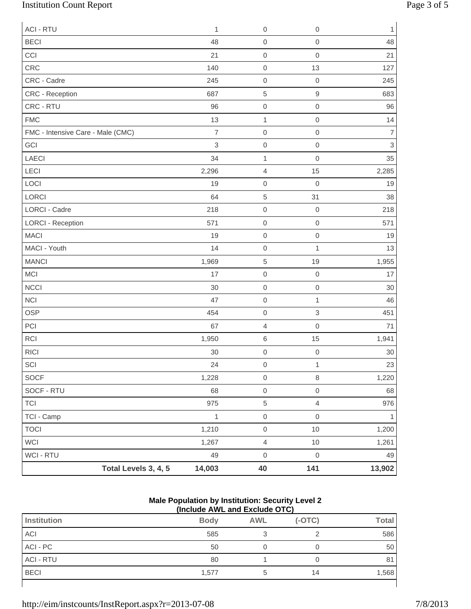# Institution Count Report Page 3 of 5

| <b>ACI - RTU</b>                  |                      | 1              | $\boldsymbol{0}$    | 0                         | $\mathbf{1}$   |
|-----------------------------------|----------------------|----------------|---------------------|---------------------------|----------------|
| <b>BECI</b>                       |                      | 48             | $\mbox{O}$          | $\mathbf 0$               | 48             |
| CCI                               |                      | 21             | $\mbox{O}$          | $\mathbf 0$               | 21             |
| CRC                               |                      | 140            | $\boldsymbol{0}$    | 13                        | 127            |
| CRC - Cadre                       |                      | 245            | $\boldsymbol{0}$    | $\mathbf 0$               | 245            |
| CRC - Reception                   |                      | 687            | $\,$ 5 $\,$         | $\hbox{9}$                | 683            |
| CRC - RTU                         |                      | 96             | $\mathbf 0$         | $\mathbf 0$               | 96             |
| <b>FMC</b>                        |                      | 13             | $\mathbf{1}$        | $\mathsf{O}\xspace$       | 14             |
| FMC - Intensive Care - Male (CMC) |                      | $\overline{7}$ | $\boldsymbol{0}$    | $\mathbf 0$               | $\overline{7}$ |
| GCI                               |                      | 3              | $\mbox{O}$          | $\mathbf 0$               | $\mathfrak{S}$ |
| LAECI                             |                      | 34             | $\mathbf{1}$        | $\mathbf 0$               | 35             |
| LECI                              |                      | 2,296          | $\sqrt{4}$          | 15                        | 2,285          |
| LOCI                              |                      | 19             | $\mbox{O}$          | $\mathbf 0$               | 19             |
| LORCI                             |                      | 64             | $\sqrt{5}$          | 31                        | 38             |
| <b>LORCI - Cadre</b>              |                      | 218            | $\mbox{O}$          | $\mathbf 0$               | 218            |
| <b>LORCI - Reception</b>          |                      | 571            | $\mbox{O}$          | $\mathbf 0$               | 571            |
| <b>MACI</b>                       |                      | 19             | $\boldsymbol{0}$    | $\mathbf 0$               | 19             |
| MACI - Youth                      |                      | 14             | $\mbox{O}$          | $\mathbf{1}$              | 13             |
| <b>MANCI</b>                      |                      | 1,969          | $\,$ 5 $\,$         | 19                        | 1,955          |
| <b>MCI</b>                        |                      | 17             | $\mbox{O}$          | $\mathbf 0$               | 17             |
| <b>NCCI</b>                       |                      | 30             | $\mbox{O}$          | $\mbox{O}$                | 30             |
| <b>NCI</b>                        |                      | 47             | $\boldsymbol{0}$    | 1                         | 46             |
| <b>OSP</b>                        |                      | 454            | $\mbox{O}$          | $\ensuremath{\mathsf{3}}$ | 451            |
| PCI                               |                      | 67             | $\overline{4}$      | $\mathbf 0$               | 71             |
| <b>RCI</b>                        |                      | 1,950          | $\,$ 6 $\,$         | 15                        | 1,941          |
| <b>RICI</b>                       |                      | 30             | $\mbox{O}$          | $\mathbf 0$               | $30\,$         |
| $\ensuremath{\mathsf{SCI}}$       |                      | 24             | $\mathsf{O}\xspace$ | $\mathbf{1}$              | 23             |
| SOCF                              |                      | 1,228          | $\mathsf{O}\xspace$ | $\,8\,$                   | 1,220          |
| SOCF - RTU                        |                      | 68             | $\mathsf{O}\xspace$ | $\mathbf 0$               | 68             |
| <b>TCI</b>                        |                      | 975            | $\,$ 5 $\,$         | $\overline{4}$            | 976            |
| TCI - Camp                        |                      | $\mathbf{1}$   | $\mathsf{O}\xspace$ | $\mathsf{O}\xspace$       | $\mathbf{1}$   |
| <b>TOCI</b>                       |                      | 1,210          | $\mathsf{O}\xspace$ | $10$                      | 1,200          |
| WCI                               |                      | 1,267          | $\overline{4}$      | 10                        | 1,261          |
| WCI - RTU                         |                      | 49             | $\mathbf 0$         | $\mathsf{O}\xspace$       | 49             |
|                                   | Total Levels 3, 4, 5 | 14,003         | 40                  | 141                       | 13,902         |

#### **Male Population by Institution: Security Level 2 (Include AWL and Exclude OTC)**

| \:::v:wwv / \:: = \::w =/\\:wwv \ : \ ; |             |            |          |              |
|-----------------------------------------|-------------|------------|----------|--------------|
| Institution                             | <b>Body</b> | <b>AWL</b> | $(-OTC)$ | <b>Total</b> |
| <b>ACI</b>                              | 585         | ◠          |          | 586          |
| ACI - PC                                | 50          |            |          | 50           |
| <b>ACI - RTU</b>                        | 80          |            |          | 81           |
| <b>BECI</b>                             | 1,577       |            | 14       | 1,568        |
|                                         |             |            |          |              |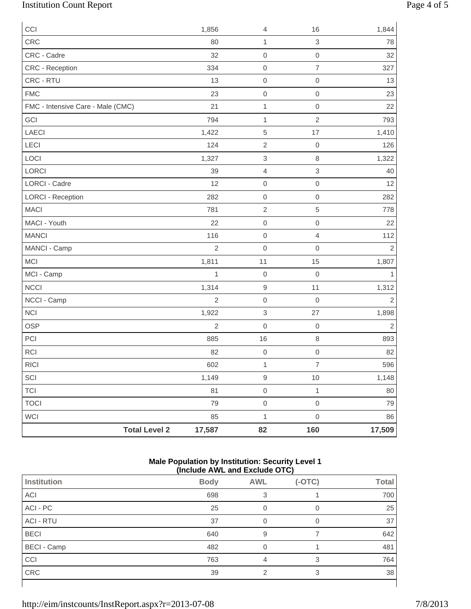# Institution Count Report Page 4 of 5

| CCI                               | 1,856          | $\overline{4}$            | 16             | 1,844          |
|-----------------------------------|----------------|---------------------------|----------------|----------------|
| CRC                               | 80             | $\mathbf{1}$              | 3              | 78             |
| CRC - Cadre                       | 32             | $\mbox{O}$                | $\mathbf 0$    | 32             |
| CRC - Reception                   | 334            | $\mathbf 0$               | $\overline{7}$ | 327            |
| CRC - RTU                         | 13             | $\mbox{O}$                | $\mathbf 0$    | 13             |
| <b>FMC</b>                        | 23             | $\mathsf{O}\xspace$       | $\mathbf 0$    | 23             |
| FMC - Intensive Care - Male (CMC) | 21             | $\mathbf{1}$              | $\mathbf 0$    | 22             |
| GCI                               | 794            | $\mathbf{1}$              | $\mathbf 2$    | 793            |
| LAECI                             | 1,422          | $\,$ 5 $\,$               | 17             | 1,410          |
| LECI                              | 124            | $\sqrt{2}$                | $\mathbf 0$    | 126            |
| LOCI                              | 1,327          | $\ensuremath{\mathsf{3}}$ | $\,8\,$        | 1,322          |
| LORCI                             | 39             | $\overline{4}$            | 3              | 40             |
| LORCI - Cadre                     | 12             | $\mathsf{O}\xspace$       | $\mbox{O}$     | 12             |
| <b>LORCI - Reception</b>          | 282            | $\mathbf 0$               | $\mathbf 0$    | 282            |
| <b>MACI</b>                       | 781            | $\sqrt{2}$                | 5              | 778            |
| MACI - Youth                      | 22             | $\mathsf{O}\xspace$       | $\mathbf 0$    | 22             |
| <b>MANCI</b>                      | 116            | $\mathbf 0$               | $\overline{4}$ | 112            |
| MANCI - Camp                      | $\overline{2}$ | $\mathsf{O}\xspace$       | $\mathbf 0$    | $\overline{c}$ |
| <b>MCI</b>                        | 1,811          | 11                        | 15             | 1,807          |
| MCI - Camp                        | 1              | $\mathsf{O}\xspace$       | $\mathbf 0$    | 1              |
| <b>NCCI</b>                       | 1,314          | $\hbox{9}$                | 11             | 1,312          |
| NCCI - Camp                       | $\overline{2}$ | $\mathbf 0$               | $\mathbf 0$    | 2              |
| NCI                               | 1,922          | $\ensuremath{\mathsf{3}}$ | 27             | 1,898          |
| OSP                               | $\overline{2}$ | $\mathbf 0$               | $\mathbf 0$    | $\overline{c}$ |
| PCI                               | 885            | 16                        | $\,8\,$        | 893            |
| <b>RCI</b>                        | 82             | $\mathsf{O}\xspace$       | $\mathbf 0$    | 82             |
| RICI                              | 602            | $\mathbf{1}$              | $\overline{7}$ | 596            |
| SCI                               | 1,149          | $\boldsymbol{9}$          | 10             | 1,148          |
| <b>TCI</b>                        | 81             | $\mathsf{O}\xspace$       | $\mathbf{1}$   | 80             |
| <b>TOCI</b>                       | 79             | $\mathsf{O}\xspace$       | $\mathbf 0$    | 79             |
| WCI                               | 85             | $\mathbf{1}$              | $\mbox{O}$     | 86             |
| <b>Total Level 2</b>              | 17,587         | 82                        | 160            | 17,509         |

### **Male Population by Institution: Security Level 1 (Include AWL and Exclude OTC)**

| .<br>.             |             |               |          |              |
|--------------------|-------------|---------------|----------|--------------|
| <b>Institution</b> | <b>Body</b> | <b>AWL</b>    | $(-OTC)$ | <b>Total</b> |
| ACI                | 698         | 3             |          | 700          |
| ACI - PC           | 25          | 0             | 0        | 25           |
| <b>ACI - RTU</b>   | 37          | 0             | 0        | 37           |
| <b>BECI</b>        | 640         | 9             |          | 642          |
| <b>BECI - Camp</b> | 482         | 0             |          | 481          |
| CCI                | 763         | 4             | 3        | 764          |
| CRC                | 39          | $\mathcal{P}$ | 3        | 38           |
|                    |             |               |          |              |